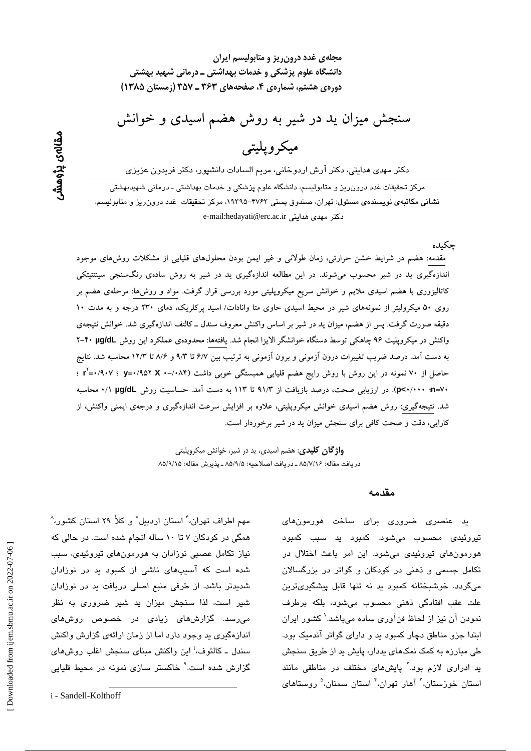مقالەي پڑوھشى

مجلهی غدد درون ریز و متابولیسم ایران دانشگاه علوم پزشکی و خدمات بهداشتی ــ درمانی شهید بهشتی دورهی هشتم، شمارهی ۴، صفحههای ۳۶۳ ـ ۳۵۷ (زمستان ۱۳۸۵)

سنجش میزان ید در شیر به روش هضم اسیدی و خوانش

# ميكر ويليتي

دکتر مهدی هدایتی، دکتر آرش اردوخانی، مریم السادات دانشپور، دکتر فریدون عزیزی

مرکز تحقیقات غدد درون٫ریز و متابولیسم، دانشگاه علوم پزشکی و خدمات بهداشتی ـ درمانی شهیدبهشتی نشانی مکاتبهی نویسندهی مسئول: تهران، صندوق پستی ۴۷۶۲–۱۹۳۹ه مرکز تحقیقات غدد درورزریز و متابولسیم، e-mail:hedayati@erc.ac.ir دكتر مهدى هدايتى

جكىدە

مقدمه: هضم در شرایط خشن حرارتی، زمان طولانی و غیر ایمن بودن محلولهای قلیایی از مشکلات روش های موجود اندازهگیری ید در شیر محسوب میشوند. در این مطالعه اندازهگیری ید در شیر به روش سادهی رنگسنجی سینتتیتکی کاتالیزوری با هضم اسیدی ملایم و خوانش سریع میکروپلیتی مورد بررسی قرار گرفت. مواد و روشها: مرحلهی هضم بر روی ۵۰ میکرولیتر از نمونههای شیر در محیط اسیدی حاوی متا وانادات/ اسید پرکلریک، دمای ۲۳۰ درجه و به مدت ۱۰ دقیقه صورت گرفت. پس از هضم، میزان ید در شیر بر اساس واکنش معروف سندل ــ کالتف اندازهگیری شد. خوانش نتیجهی واکنش در میکروپلیت ۹۶ چاهکی توسط دستگاه خوانشگر الایزا انجام شد. یافتهها: محدودهی عملکرد این روش ۴۰ µg/dL به دست آمد. درصد ضریب تغییرات درون آزمونی و برون آزمونی به ترتیب بین ۶/۷ تا ۹/۳ و ۸/۶ تا ۱۲/۳ محاسبه شد. نتایج حاصل از ۷۰ نمونه در این روش با روش رایج هضم قلیایی همبستگی خوبی داشت (۸۴/-۰ x =۰/۹۰۷ ؛ ۰/۹۰۷ آ +v=(p<-/··· (p<-/··· ). در ارزیابی صحت، درصد بازیافت از ۹۱/۳ تا ۱۱۳ به دست آمد. حساسیت روش µg/dL //· محاسبه شد. نتیجهگیری: روش هضم اسیدی خوانش میکروپلیتی، علاوه بر افزایش سرعت اندازهگیری و درجهی ایمنی واکنش، از کارایی، دقت و صحت کافی برای سنجش میزان ید در شیر برخوردار است.

> **واژ گان کلیدی**: هضم اسیدی، ید در شیر، خوانش میکروپلیتی دريافت مقاله: ۸۵/۷/۱۶ ـ دريافت اصلاحيه: ۸۵/۹/۵ ـ يذيرش مقاله: ۸۵/۹/۱۵

> > مقدمه

ید عنصری ضروری برای ساخت هورمونهای تیروئی*دی* محسوب میشود. کمبود ید سبب کمبود هورمونهای تیروئیدی می شود. این امر باعث اختلال در تکامل جسمی و ذهنی در کودکان و گواتر در بزرگسالان می،گردد. خوشبختانه کمبود ید نه تنها قابل پیشگیریترین علت عقب افتادگی ذهنی محسوب میشود، بلکه برطرف نمودن آن نیز از لحاظ فنآوری ساده میباشد.<sup>\</sup> کشور ایران ابتدا جزو مناطق دچار کمبود ید و دارای گواتر آندمیک بود. طی مبارزه به کمک نمکهای بددار، پایش بد از طریق سنجش ید ادراری لازم بود.<sup>۲</sup> پایشهای مختلف در مناطقی مانند استان خوزستان،<sup>۳</sup> آهار تهران،<sup>۴</sup> استان سمنان،<sup>۵</sup> روستا*ه*ای

مهم اطراف تهران، ٔ استان اردبیل $^\vee$  و کلاً ۲۹ استان کشور، $^\wedge$ همگی در کودکان ۷ تا ۱۰ ساله انجام شده است. در حالی که نیاز تکامل عصبی نوزادان به هورمونهای تیروئیدی، سبب شده است که آسیبهای ناشی از کمبود ید در نوزادان شدیدتر باشد. از طرفی منبع اصلی دریافت ید در نوزادان شیر است، لذا سنجش میزان بد شیر ضروری به نظر میرسد. گزارشهای زیادی در خصوص روشهای اندازهگیری بد وجود دارد اما از زمان ارائهی گزارش واکنش سندل ـ کالتوف،<sup>ن</sup>این واکنش مینای سنجش اغلب روشهای گزارش شده است.<sup>۹</sup> خاکستر سازی نمونه در محیط قلیایی

i - Sandell-Kolthoff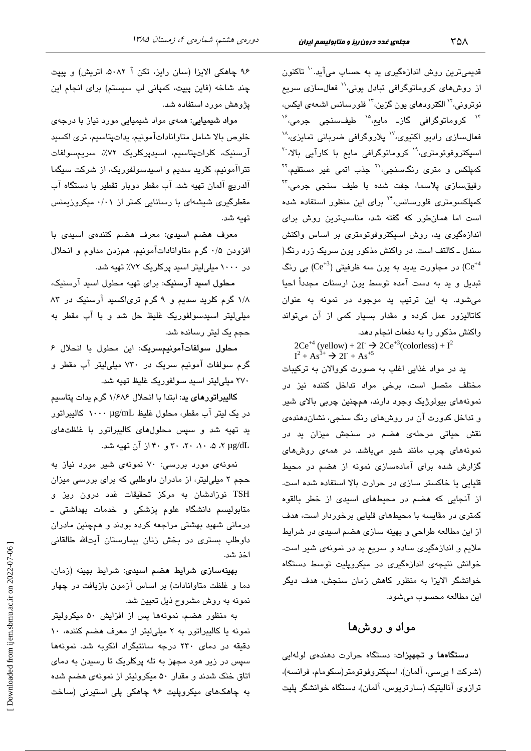قدیمیترین روش اندازهگیری بد به حساب میآید. `` تاکنون از روشهای کروماتوگرافی تبادل یونی،'' فعالسازی سریع نوترونی،<sup>۱۲</sup> الکترود*ه*ای یون گزین،<sup>۱۳</sup> فلورسانس اشعهی ایکس، <sup>۱۴</sup> کروماتوگرافی گاز۔ مایع،<sup>۱۵</sup> طیفسنجی جرمی،<sup>۴</sup> فعالسازی رادیو اکتیوی،<sup>۱۷</sup> پلاروگرافی ضربانی تمایزی،<sup>۱۸</sup> اسیکتروفوتومتری،<sup>۱۹</sup> کروماتوگرافی مایع با کارآیی بالا،<sup>۲۰</sup> کمپلکس و متر*ی* رنگسنجی،<sup>۲۱</sup> جذب اتمی غیر مستقیم،<sup>۲۲</sup> رقيقسازی پلاسما، جفت شده با طيف سنجی جرمی،<sup>۳</sup> کمپلکسومتری فلورسانس،<sup>۲۲</sup> برای این منظور استفاده شده است اما همان طور که گفته شد، مناسبترین روش برای اندازهگیری ید، روش اسپکتروفوتومتری بر اساس واکنش سندل ـ کالتف است. در واکنش مذکور یون سریک زرد رنگ( در مجاورت پدید به یون سه ظرفیتی ( $\rm Ce^{+3})$  بی رنگ (Ce $^{+4}$ تبدیل و ید به دست آمده توسط یون ارسنات مجدداً احیا می شود. به این ترتیب ید موجود در نمونه به عنوان کاتالیزور عمل کرده و مقدار بسیار کمی از آن میتواند واکنش مذکور را به دفعات انجام دهد.

 $2Ce^{+4}$  (yellow) +  $2I \rightarrow 2Ce^{+3}$  (colorless) +  $I^2$ <br> $I^2 + As^{3+} \rightarrow 2I + As^{5}$ 

ید در مواد غذایی اغلب به صورت کووالان به ترکیبات مختلف متصل است، برخی مواد تداخل کننده نیز در نمونههای بیولوژیک وجود دارند، همچنین چربی بالای شیر و تداخل کدورت آن در روشهای رنگ سنجی، نشان دهندهی نقش حیاتی مرحلهی هضم در سنجش میزان ید در نمونههای چرب مانند شیر میباشد. در همهی روشهای گزارش شده برای آمادهسازی نمونه از هضم در محبط قلیایی یا خاکستر سازی در حرارت بالا استفاده شده است. از آنجایی که هضم در محیطهای اسیدی از خطر بالقوه کمتری در مقایسه با محیطهای قلیایی برخوردار است، هدف از این مطالعه طراحی و بهینه سازی هضم اسیدی در شرایط ملايم و اندازهگيري ساده و سريع يد در نمونهي شير است. خوانش نتیجهی اندازهگیری در میکروپلیت توسط دستگاه خوانشگر الایزا به منظور کاهش زمان سنجش، هدف دیگر اين مطالعه محسوب مي شود.

### مواد و روشها

دستگاهها و تجهیزات: دستگاه حرارت دهندهی لولهایی (شركت ا بىسى، آلمان)، اسپكتروفوتومتر(سكومام، فرانسه)، ترازوی آنالیتیک (سارتریوس، آلمان)، دستگاه خوانشگر پلیت

۹۶ چاهکی الایزا (سان رایز، تکن آ ۵۰۸۲، اتریش) و پیپت چند شاخه (فاین پیپت، کمپانی لب سیستم) برای انجام این یژوهش مورد استفاده شد.

دورهی هشتم، شمارهی ۴، زمستان ۱۳۸۵

مواد شیمیایی: همهی مواد شیمیایی مورد نیاز با درجهی خلوص بالا شامل متاواناداتآمونیم، بداتپتاسیم، تری اکسید آرسنيک، کلراتيتاسيم، اسيديرکلريک ٧٢٪، سريمسولفات تتراآمونیم، کلرید سدیم و اسیدسولفوریک، از شرکت سیگما آلدریچ آلمان تهیه شد. آب مقطر دوبار تقطیر با دستگاه آب مقطرگیری شیشهای با رسانایی کمتر از ۰/۰۱ میکروزیمنس تهيه شد.

معرف هضم اسیدی: معرف هضم کنندهی اسیدی با افزودن ۰/۵ گرم متاواناداتآمونیم، همزدن مداوم و انحلال در ۱۰۰۰ میلی لیتر اسید پرکلریک ۷۲٪ تهیه شد.

محلول اسيد آرسنيک: برای تهيه محلول اسيد آرسنيک، ١/٨ گرم کلرید سدیم و ٩ گرم تریاکسید آرسنیک در ٨٣ میلی لیتر اسیدسولفوریک غلیظ حل شد و با آب مقطر به حجم یک لیتر رسانده شد.

محلول سولفات آمونيمسريک: اين محلول با انحلال ۶ گرم سولفات آمونیم سریک در ۷۳۰ میلی لیتر آب مقطر و ۲۷۰ میلی لیتر اسید سولفوریک غلیظ تهیه شد.

کالیبراتورهای ید: ابتدا با انحلال ۱/۶۸۶ گرم یدات پتاسیم در یک لیتر آب مقطر، محلول غلیظ ۱۰۰۰ µg/mL کالیبراتور ید تهیه شد و سپس محلولهای کالیبراتور با غلظتهای x µg/dL ، ۵، ۰۸، ۲۰، ۳۰ و ۴۰ از آن تهیه شد.

نمونهی مورد بررسی: ۷۰ نمونهی شیر مورد نیاز به حجم ۲ میلی!یتر، از مادران داوطلبی که برای بررسی میزان TSH نوزادشان به مرکز تحقیقات غدد درون ریز و متابولیسم دانشگاه علوم پزشکی و خدمات بهداشتی ـ درمانی شهید بهشتی مراجعه کرده بودند و همچنین مادران داوطلب بستری در بخش زنان بیمارستان آیتالله طالقانی اخذ شد.

بهینهسازی شرایط هضم اسیدی: شرایط بهینه (زمان، دما و غلظت متاوانادات) بر اساس آزمون بازیافت در چهار نمونه به روش مشروح ذیل تعیین شد.

به منظور هضم، نمونهها پس از افزایش ۵۰ میکرولیتر نمونه یا کالیبراتور به ۲ میلیلیتر از معرف هضم کننده، ۱۰ دقیقه در دمای ۲۳۰ درجه سانتیگراد انکوبه شد. نمونهها سپس در زیر هود مجهز به تله پرکلریک تا رسیدن به دمای اتاق خنک شدند و مقدار ۵۰ میکرولیتر از نمونهی هضم شده به چاهکهای میکروپلیت ۹۶ چاهکی پلی استیرنی (ساخت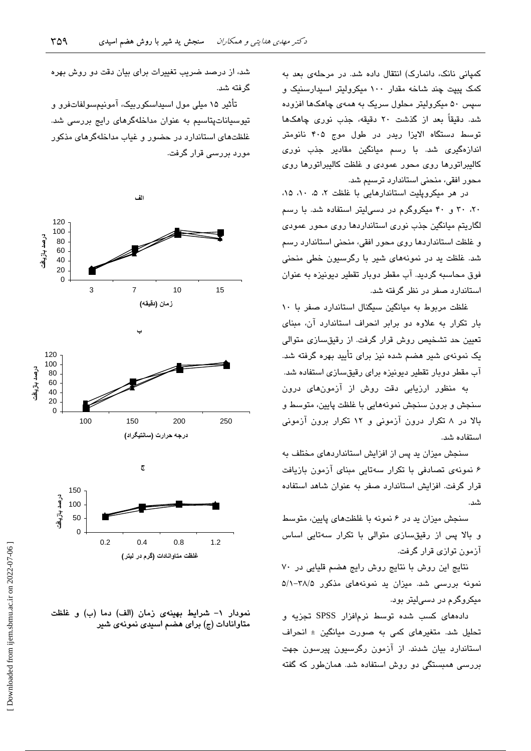کمیانی نانک، دانمارک) انتقال داده شد. در مرحلهی بعد به کمک پیپت چند شاخه مقدار ۱۰۰ میکرولیتر اسپدارسنیک و سیس ۵۰ میکرولیتر محلول سریک به همهی چاهکها افزوده شد. دقیقاً بعد از گذشت ۲۰ دقیقه، جذب نوری چاهکها توسط دستگاه الایزا ریدر در طول موج ۴۰۵ نانومتر اندازەگىرى شد. با رسم ميانگین مقادیر جذب نور*ى* كاليبراتورها روى محور عمودى و غلظت كاليبراتورها روى محور افقی، منحنی استاندارد ترسیم شد.

در هر میکرویلیت استاندارهایی با غلظت ۲، ۵، ۱، ۱۵، ۲۰، ۳۰ و ۴۰ میکروگرم در دسه لیتر استفاده شد. با رسم لگاریتم میانگین جذب نوری استانداردها روی محور عمودی و غلظت استانداردها روی محور افقی، منحنی استاندارد رسم شد. غلظت بد در نمونههای شیر با رگرسیون خطی منحنی فوق محاسبه گردید. آب مقطر دوبار تقطیر دیونیزه به عنوان استاندار د صفر در نظر گرفته شد.

غلظت مربوط به میانگین سیگنال استاندارد صفر با ۱۰ بار تکرار به علاوه دو برابر انحراف استاندارد آن، مبنای ۔<br>تعیین حد تشخیص روش قرار گرفت. از رقبق *س*ازی متوال*ی* یک نمونهی شیر هضم شده نیز برای تأیید بهره گرفته شد. آب مقطر دوبار تقطیر دیونیزه برای رقیقسازی استفاده شد.

به منظور ارزیابی دقت روش از آزمونهای درون سنجش و برون سنجش نمونههایی با غلظت پایین، متوسط و بالا در ۸ تکرار درون آزمونی و ۱۲ تکرار برون آزمونی استفاده شد.

سنجش میزان ید پس از افزایش استانداردهای مختلف به ۶ نمونهی تصادفی با تکرار سهتایی مبنای آزمون بازیافت قرار گرفت. افزایش استاندارد صفر به عنوان شاهد استفاده شد.

سنجش میزان ید در ۶ نمونه با غلظتهای پایین، متوسط و بالا پس از رقیقسازی متوالی با تکرار سهتایی اساس آزمون توازی قرار گرفت.

نتایج این روش با نتایج روش رایج هضم قلیایی در ۷۰ نمونه بررسی شد. میزان ید نمونههای مذکور ۳۸/۵–۵/۱ میکروگرم در دسی!یتر بود.

دادههای کسب شده توسط نرمافزار SPSS تجزیه و تحلیل شد. متغیرهای کمی به صورت مبانگین ± انحراف استاندارد بیان شدند. از آزمون رگرسیون پیرسون جهت بررسی همبستگی دو روش استفاده شد. همانطور که گفته

شد، از درصد ضریب تغییرات برای بیان دقت دو روش بهره گ فته شد.

تأثیر ۱۵ میلی مول اسیداسکوربیک، آمونیمسولفاتفرو و تیوسیاناتپتاسیم به عنوان مداخلهگرهای رایج بررسی شد. غلظتهای استاندارد در حضور و غباب مداخلهگرهای مذکور مورد بررسی قرار گرفت.



نمودار ١- شرايط بهينهى زمان (الف) دما (ب) و غلظت متاوانادات (ج) برای هضم اسیدی نمونهی شیر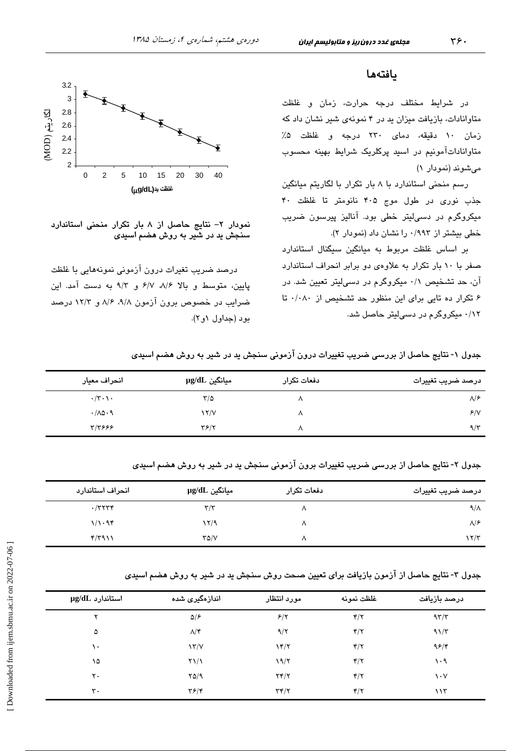### يافتهها

در شرایط مختلف درجه حرارت، زمان و غلظت متاوانادات، بازیافت میزان ید در ۴ نمونهی شیر نشان داد که زمان ١٠ دقيقه، دماى ٢٣٠ درجه و غلظت ۵٪ متاواناداتآمونیم در اسید پرکلریک شرایط بهینه محسوب میشوند (نمودار ۱)

رسم منحنی استاندارد با ۸ بار تکرار با لگاریتم میانگین جذب نوری در طول موج ۴۰۵ نانومتر تا غلظت ۴۰ میکروگرم در دسہالیتر خطی بود. آنالیز پیرسون ضریب خطی بیشتر از ۰/۹۹۳ را نشان داد (نمودار ۲).

بر اساس غلظت مربوط به میانگین سیگنال استاندارد صفر با ١٠ بار تكرار به علاوهى دو برابر انحراف استاندارد آن، حد تشخیص ۰/۱ میکروگرم در دسهالیتر تعیین شد. در ۶ تکرار ده تایی برای این منظور حد تشخیص از ۰/۰۸۰ تا ۰/۱۲ میکروگرم در دسی لیتر حاصل شد.



نمودار ٢- نتايج حاصل از ٨ بار تكرار منحنى استاندارد سنجش ید در شیر به روش هضم اسیدی

درصد ضریب تغیرات درون آزمونی نمونههایی با غلظت پایین، متوسط و بالا ۸/۶، ۶/۷، ۹/۲ به دست آمد. این ضراب در خصوص برون آزمون ۹/۸، ۸/۶، ۱۲/۲ درصد بود (جداول ۱و۲).

جدول ۱- نتایج حاصل از بررسی ضریب تغییرات درون آزمونی سنجش ید در شیر به روش هضم اسیدی

| انحراف معيار                       | سيانگين µg/dL             | دفعات تكرار | درصد ضريب تغييرات |
|------------------------------------|---------------------------|-------------|-------------------|
| $\cdot/\tau \cdot \setminus \cdot$ | ٣/۵                       |             | $\lambda$ /۶      |
| .700.9                             | $\frac{1}{\sqrt{2}}$      | л           | 8/1               |
| ۳/۳۶۶۶                             | $\mathbf{Y}$ $\mathbf{Y}$ |             | $9/\tau$          |

جدول ۲- نتایج حاصل از بررسی ضریب تغییرات برون آزمونی سنجش ید در شیر به روش هضم اسیدی

| انحراف استاندارد | سانگین µg/dL            | دفعات تكرار | درصد ضريب تغييرات    |
|------------------|-------------------------|-------------|----------------------|
| $\cdot$ /۳۲۳۴    | $\mathbf{r}/\mathbf{r}$ | л           | $9/\lambda$          |
| 1/1.94           | ۲/۹                     | л           | $\lambda$ /۶         |
| ۴/۳۹۱۱           | $Y\Delta/V$             |             | $\frac{1}{\sqrt{2}}$ |

جدول ۳- نتایج حاصل از آزمون بازیافت برای تعیین صحت روش سنجش ید در شیر به روش هضم اسیدی

| $\mu$ استاندارد $\mu$ | اندازەگیر <i>ى</i> شدە | مورد انتظار            | غلظت نمونه              | درصد بازيافت                  |
|-----------------------|------------------------|------------------------|-------------------------|-------------------------------|
| ٧                     | $\Delta$ /۶            | 8/7                    | $\mathbf{f}/\mathbf{f}$ | $97/\tau$                     |
| ۵                     | $\Lambda/\mathfrak{r}$ | 9/7                    | $\mathbf{r}/\mathbf{r}$ | $91/\tau$                     |
| ١٠                    | $\frac{1}{\sqrt{2}}$   | $Y^{\prime}$           | $\mathbf{f}/\mathbf{y}$ | ۹۶/۴                          |
| ۱۵                    | $Y\setminus\setminus$  | 19/7                   | $\mathbf{r}/\mathbf{r}$ | ۱۰۹                           |
| ۲٠                    | YQ/9                   | YY/Y                   | $\mathbf{r}/\mathbf{r}$ | $\mathsf{v} \cdot \mathsf{v}$ |
| ٣.                    | $\mathbf{y}$           | $\tau$ $\tau$ / $\tau$ | $\mathbf{r}/\mathbf{r}$ | 115                           |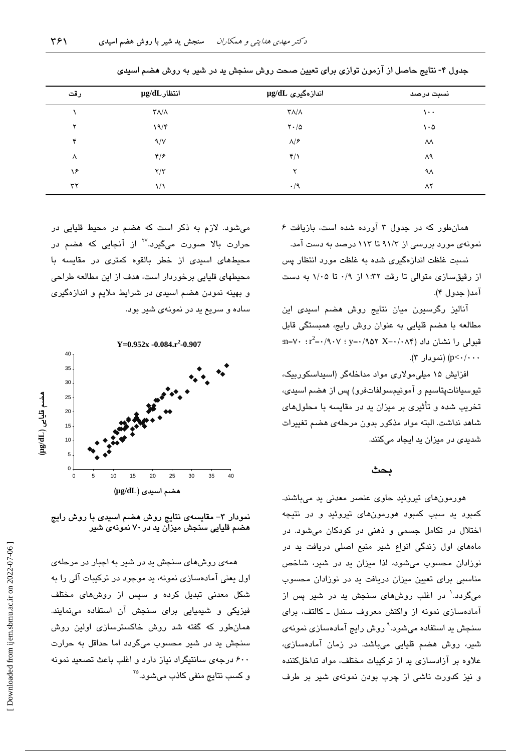| رقت | $\mu$ انتظار $\mu$                 | اندازەگىرى µg/dL                   | نسبت درصد     |
|-----|------------------------------------|------------------------------------|---------------|
|     | $\mathsf{r}\wedge\mathsf{r}\wedge$ | $\mathsf{r}\wedge\mathsf{r}\wedge$ | $\cdots$      |
| ۲   | 19/F                               | $\mathsf{Y}\cdot/\mathsf{Q}$       | $\cdot \circ$ |
| ۴   | 9/V                                | $\Lambda/\mathcal{F}$              | ٨٨            |
| Λ   | ۴۱۶                                | $\mathbf{r}/\mathbf{v}$            | ۸۹            |
| ۱۶  | $\tau/\tau$                        | ۲                                  | ٩٨            |
| ٣٢  | ۱۱                                 | $\cdot/9$                          | ۸۲            |

جدول ۴- نتایج حاصل از آزمون توازی برای تعیین صحت روش سنجش ید در شیر به روش هضم اسیدی

همانطور که در جدول ۳ آورده شده است، بازیافت ۶ نمونهی مورد بررسی از ۹۱/۳ تا ۱۱۳ درصد به دست آمد.

نسبت غلظت اندازهگیری شده به غلظت مورد انتظار پس از رقیقسازی متوالی تا رقت ۱:۳۲ از ۰/۹ تا ۱/۰۵ به دست آمد( جدول ۴).

آنالیز رگرسیون میان نتایج روش هضم اسیدی این مطالعه با هضم قلیایی به عنوان روش رایج، همبستگی قابل  $m = V \cdot r^2 = (A \cdot V \cdot y) = (A \cdot V \cdot X - A \cdot V)$ قبولی را نشان داد p<-/··· (نمو دار ۳).

افزایش ۱۵ میلی مولاری مواد مداخلهگر (اسپداسکوربیک، تيوسياناتپتاسيم و آمونيمسولفاتفرو) پس از هضم اسيدي، تخریب شده و تأثیری بر میزان بد در مقایسه با محلولهای شاهد نداشت. البته مواد مذكور بدون مرحلهى هضم تغييرات شدیدی در میزان ید ایجاد میکنند.

### ىحث

هورمونهای تیروئید حاوی عنصر معدنی ید میباشند. کمبود ید سبب کمبود هورمونهای تیروئید و در نتیجه اختلال در تکامل جسمی و ذهنی در کودکان میشود. در مادهای اول زندگی انواع شیر منبع اصلی دریافت ید در نوزادان محسوب می شود، لذا میزان ید در شیر، شاخص مناسبی برای تعیین میزان دریافت ید در نوزادان محسوب میگردد.<sup>۱</sup> در اغلب روشهای سنجش ید در شیر پس از آمادهسازی نمونه از واکنش معروف سندل ـ کالتف، برای سنجش ید استفاده میشود.<sup>۹</sup> روش رایج آمادهساز*ی* نمونه*ی* شیر، روش هضم قلیایی میباشد. در زمان آمادهسازی، علاوه بر آزادسازی بد از ترکیبات مختلف، مواد تداخلکننده و نیز کدورت ناشی از چرب بودن نمونهی شیر بر طرف

میشود. لازم به ذکر است که هضم در محیط قلیایی در حرارت بالا صورت میگیرد.<sup>۲۷</sup> از آنجایی که هضم در .<br>محیطهای اسی*دی* از خطر بالقوه کمتر*ی* در مقایسه با محیطهای قلیایی برخوردار است، هدف از این مطالعه طراحی و بهینه نمودن هضم اسیدی در شرایط ملایم و اندازهگیری ساده و سریع ید در نمونهی شیر بود.



نمودار ۳– مقایسهی نتایج روش هضم اسیدی با روش رایج هضم قلیایی سنجش میزان ید در ۷۰ نمونهی شیر

همهی روش های سنجش ید در شیر به اجبار در مرحلهی اول یعنی آمادهسازی نمونه، ید موجود در ترکیبات آلی را به شکل معدنی تبدیل کرده و سپس از روشهای مختلف فیزیکی و شیمیایی برای سنجش آن استفاده مینمایند. همانطور که گفته شد روش خاکسترسازی اولین روش سنجش ید در شیر محسوب میگردد اما حداقل به حرارت ۶۰۰ درجهی سانتیگراد نیاز دارد و اغلب باعث تصعید نمونه و کسب ن**تایج** منف*ی* کاذب می،شود.<sup>۲۵</sup>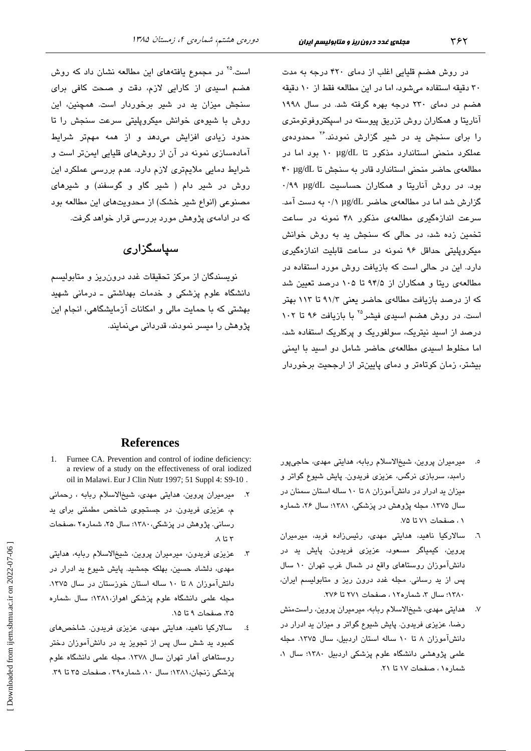در روش هضم قلیایی اغلب از دمای ۴۲۰ درجه به مدت ۳۰ دقیقه استفاده میشود، اما در این مطالعه فقط از ۱۰ دقیقه هضم در دمای ۲۳۰ درجه بهره گرفته شد. در سال ۱۹۹۸ آناریتا و همکاران روش تزریق پیوسته در اسپکتروفوتومتری را برای سنجش بد در شیر گزارش نمودند.<sup>۲۶</sup> محدودهی عملکرد منحنی استاندارد مذکور تا ۱۰ µg/dL بود اما در مطالعهى حاضر منحنى استاندارد قادر به سنجش تا ٢٠ µg/dL بود. در روش آناریتا و همکاران حساسیت ug/dL ۰/۹۹ گزارش شد اما در مطالعهی حاضر µg/dL ۰/۱ به دست آمد. سرعت اندازهگیری مطالعهی مذکور ۴۸ نمونه در ساعت تخمین زده شد، در حالی که سنجش پد به روش خوانش میکروپلیتی حداقل ۹۶ نمونه در ساعت قابلیت اندازهگیری دارد. این در حالی است که بازیافت روش مورد استفاده در مطالعهی ریتا و همکاران از ۹۴/۵ تا ۱۰۵ درصد تعیین شد که از درصد بازیافت مطالهی حاضر یعنی ۹۱/۳ تا ۱۱۳ بهتر است. در روش هضم اسیدی فیشر<sup>۲۵</sup> با بازیافت ۹۶ تا ۱۰۲ درصد از اسید نیتریک، سولفوریک و پرکلریک استفاده شد، اما مخلوط اسیدی مطالعهی حاضر شامل دو اسید با ایمنی بیشتر، زمان کوتاهتر و دمای پایینتر از ارجحیت برخوردار

است.<sup>۲۵</sup> در مجموع یافتههای این مطالعه نشان داد که روش هضم اسی*دی* از کارایی لازم، دقت و صحت کافی برای سنجش میزان ید در شیر برخوردار است. همچنین، این روش با شیوهی خوانش میکروپلیتی سرعت سنجش را تا حدود زیا*دی* افزایش میدهد و از همه مهمتر شرایط آمادهسازی نمونه در آن از روشهای قلیایی ایمنتر است و شرایط دمایی ملایمتری لازم دارد. عدم بررسی عملکرد این روش در شیر دام ( شیر گاو و گوسفند) و شیرهای مصنوعی (انواع شیر خشک) از محدویتهای این مطالعه بود که در ادامهی پژوهش مورد بررسی قرار خواهد گرفت.

## سیاسگزار ی

نویسندگان از مرکز تحقیقات غدد درون ریز و متابولیسم دانشگاه علوم پزشکی و خدمات بهداشتی ـ درمانی شهید ۔<br>بھشتی که یا حمایت مالی و امکانات آزمایشگاهی، انجام این پژوهش را میسر نمودند، قدردانی می،نمایند.

- ٥. میرمیران پروین، شیخالاسلام ربابه، هدایتی مه*دی،* حاجیپور رامبد، سربازی نرگس، عزیزی فریدون. پایش شیوع گواتر و میزان ید ادرار در دانشآموزان ۸ تا ۱۰ ساله استان سمنان در سال ۱۳۷۵. مجله پژوهش در پزشکی، ۱۳۸۱؛ سال ۲۶، شماره ٠١، صفحات ٧١ تا ٧٥.
- ٦. سالارکیا ناهید، هدایتی مهدی، رئیسزاده فربد، میرمیران پروین، کیمیاگر مسعود، عزیزی فریدون. پایش ید در دانشآموزان روستاهای واقع در شمال غرب تهران ١٠ سال پس از ید رسانی. مجله غدد درون ریز و متابولیسم ایران، ۱۳۸۰؛ سال ۳، شماره۱۲، صفحات ۲۷۱ تا ۲۷۶.
- ۷. هدایتی مهدی، شیخالاسلام ربابه، میرمیران پروین، راستمنش رضا، عزیزی فریدون. پایش شیوع گواتر و میزان ید ادرار در دانشآموزان ۸ تا ۱۰ ساله استان اردبیل، سال ۱۳۷۵. مجله علمی پژوهشی دانشگاه علوم پزشکی اردبیل ۱۳۸۰؛ سال ۱، شماره١، صفحات ١٧ تا ٢١.

### **References**

- 1. Furnee CA. Prevention and control of iodine deficiency: a review of a study on the effectiveness of oral iodized oil in Malawi. Eur J Clin Nutr 1997; 51 Suppl 4: S9-10.
- میرمیران پروین، هدایتی مهدی، شیخالاسلام ربابه ، رحمانی م، عزیزی فریدون. در جستجوی شاخص مطمئنی برای ید رسانی. پژوهش در پزشکی، ۱۳۸۰؛ سال ۲۵، شماره۲ ،صفحات  $\Lambda$  تا  $\tau$
- عزیزی فریدون، میرمیران پروین، شیخالاسلام ربابه، هدایتی  $\mathcal{F}$ مهدی، دلشاد حسین، بهلکه جمشید. پایش شیوع ید ادرار در دانشآموزان ۸ تا ۱۰ ساله استان خوزستان در سال ۱۳۷۵. مجله علمی دانشگاه علوم پزشکی اهواز،۱۳۸۱؛ سال ،شماره ۳۵، صفحات ۹ تا ۱۵.
- سالارکیا ناهید، هدایتی مهدی، عزیزی فریدون. شاخصهای ٤. کمبود بد شش سال پس از تجویز بد در دانشآموزان دختر روستاهای آهار تهران سال ۱۳۷۸. مجله علمی دانشگاه علوم پزشکی زنجان، ۱۳۸۱؛ سال ۱۰، شماره۳۹، صفحات ۳۵ تا ۳۹.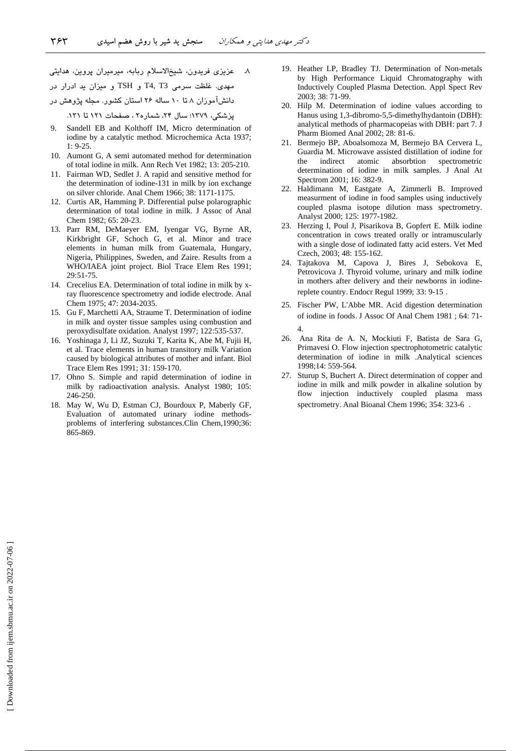۸ عزیزی فریدون، شیخالاسلام ربابه، میرمیران پروین، هدایتی مهدی. غلظت سرمی T4, T3 و TSH و میزان ید ادرار در دانش۱موزان ۸ تا ۱۰ ساله ۲۶ استان کشور. مجله پژوهش در پزشکی، ۱۳۷۹؛ سال ۲۴، شماره۲ ، صفحات ۱۲۱ تا ۱۳۱.

- Sandell EB and Kolthoff IM, Micro determination of iodine by a catalytic method. Microchemica Acta 1937; 1: 9-25.
- 10. Aumont G, A semi automated method for determination of total iodine in milk. Ann Rech Vet 1982; 13: 205-210.
- 11. Fairman WD, Sedlet J. A rapid and sensitive method for the determination of iodine-131 in milk by ion exchange on silver chloride. Anal Chem 1966; 38: 1171-1175.
- 12. Curtis AR, Hamming P. Differential pulse polarographic determination of total iodine in milk. J Assoc of Anal Chem 1982; 65: 20-23.
- 13. Parr RM, DeMaeyer EM, Iyengar VG, Byrne AR, Kirkbright GF, Schoch G, et al. Minor and trace elements in human milk from Guatemala, Hungary, Nigeria, Philippines, Sweden, and Zaire. Results from a WHO/IAEA joint project. Biol Trace Elem Res 1991; 29:51-75.
- 14. Crecelius EA. Determination of total iodine in milk by xray fluorescence spectrometry and iodide electrode. Anal Chem 1975; 47: 2034-2035.
- 15. Gu F, Marchetti AA, Straume T. Determination of iodine in milk and oyster tissue samples using combustion and peroxydisulfate oxidation. Analyst 1997; 122:535-537.
- 16. Yoshinaga J, Li JZ, Suzuki T, Karita K, Abe M, Fujii H, et al. Trace elements in human transitory milk Variation caused by biological attributes of mother and infant. Biol Trace Elem Res 1991; 31: 159-170.
- 17. Ohno S. Simple and rapid determination of iodine in milk by radioactivation analysis. Analyst 1980; 105: 246-250.
- 18. May W, Wu D, Estman CJ, Bourdoux P, Maberly GF, Evaluation of automated urinary iodine methodsproblems of interfering substances.Clin Chem,1990;36: 865-869.
- 19. Heather LP, Bradley TJ. Determination of Non-metals by High Performance Liquid Chromatography with Inductively Coupled Plasma Detection. Appl Spect Rev 2003; 38: 71-99.
- 20. Hilp M. Determination of iodine values according to Hanus using 1,3-dibromo-5,5-dimethylhydantoin (DBH): analytical methods of pharmacopeias with DBH: part 7. J Pharm Biomed Anal 2002; 28: 81-6.
- 21. Bermejo BP, Aboalsomoza M, Bermejo BA Cervera L, Guardia M. Microwave assisted distillation of iodine for the indirect atomic absorbtion spectrometric determination of iodine in milk samples. J Anal At Spectrom 2001; 16: 382-9.
- 22. Haldimann M, Eastgate A, Zimmerli B. Improved measurment of iodine in food samples using inductively coupled plasma isotope dilution mass spectrometry. Analyst 2000; 125: 1977-1982.
- 23. Herzing I, Poul J, Pisarikova B, Gopfert E. Milk iodine concentration in cows treated orally or intramuscularly with a single dose of iodinated fatty acid esters. Vet Med Czech, 2003; 48: 155-162.
- 24. Tajtakova M, Capova J, Bires J, Sebokova E, Petrovicova J. Thyroid volume, urinary and milk iodine in mothers after delivery and their newborns in iodinereplete country. Endocr Regul 1999; 33: 9-15 .
- 25. Fischer PW, L'Abbe MR. Acid digestion determination of iodine in foods. J Assoc Of Anal Chem 1981 ; 64: 71- 4.
- 26. Ana Rita de A. N, Mockiuti F, Batista de Sara G, Primavesi O. Flow injection spectrophotometric catalytic determination of iodine in milk .Analytical sciences 1998;14: 559-564.
- 27. Sturup S, Buchert A. Direct determination of copper and iodine in milk and milk powder in alkaline solution by flow injection inductively coupled plasma mass spectrometry. Anal Bioanal Chem 1996; 354: 323-6 .